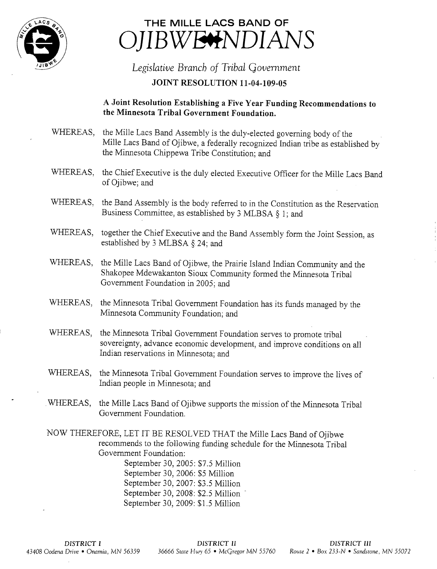

## THE MILLE LACS BAND OF )JIBWE<del>Y</del>NDIANS

## Legislative Branch of Tribal Government **JOINT RESOLUTION 11-04-109-05**

## A Joint Resolution Establishing <sup>a</sup> Five Year Funding Recommendations to the Minnesota Tribal Government Foundation.

- WHEREAS, the Mile Lacs Band Assembly is the duly-elected governing body of the Mille Lacs Band of Ojibwe, a federally recognized Indian tribe as established by the Minnesota Chippewa Tribe Constitution; and
- WHEREAS, the Chief Executive is the duly elected Executive Officer for the Mille Lacs Band of Ojibwe; and
- WHEREAS, the Band Assembly is the body referred to in the Constitution as the Reservation Business Committee, as established by <sup>3</sup> MLBSA § 1; and
- WHEREAS, together the Chief Executive and the Band Assembly form the Joint Session, as established by <sup>3</sup> MLBSA §.24; and
- WHEREAS, the Mille Lacs Band of Ojibwe, the Prairie Island Indian Community and the Shakopee Mdewakanton Sioux Community formed the Minnesota Tribal Government Foundation in 2005; and
- WHEREAS, the Minnesota Tribal Government Foundation has its funds managed by the Minnesota Community Foundation; and
- WHEREAS, the Minnesota Tribal Government Foundation serves to promote tribal sovereignty, advance economic development, and improve conditions on all Indian reservations in Minnesota; and
- WHEREAS, the Minnesota Tribal Government Foundation serves to improve the lives of Indian people in Minnesota; and
- WHEREAS, the Mille Lacs Band of Ojibwe supports the mission of the Minnesota Tribal Government Foundation.
- NOW THEREFORE, LET IT BE RESOLVED THAT the Mille Lacs Band of Ojibwe recommends to the following funding schedule for the Minnesota Tribal Government Foundation:

September 30, 2005: \$7.5 Million September 30, 2006: \$5 Million September 30, 2007: \$3.5 Million September 30, 2008: \$2.5 Million September 30, 2009: \$1.5 Million